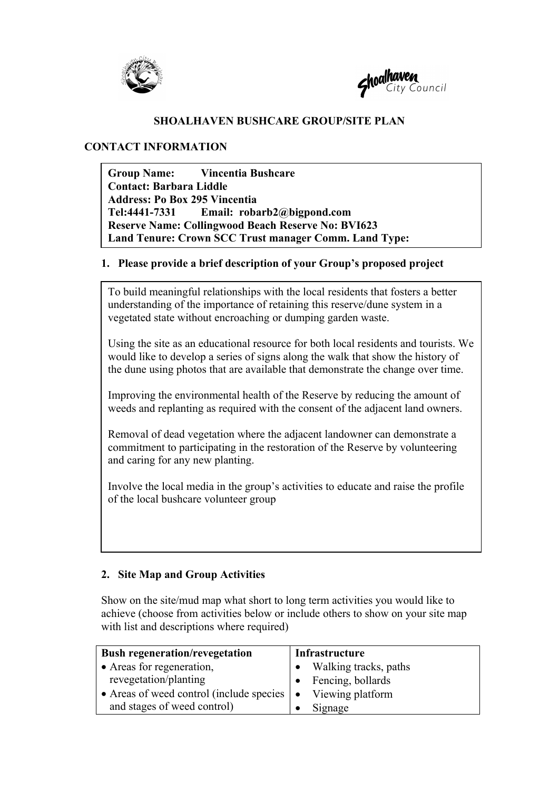



### **SHOALHAVEN BUSHCARE GROUP/SITE PLAN**

#### **CONTACT INFORMATION**

**Group Name: Vincentia Bushcare Contact: Barbara Liddle Address: Po Box 295 Vincentia Tel:4441-7331 Email: robarb2@bigpond.com Reserve Name: Collingwood Beach Reserve No: BVI623 Land Tenure: Crown SCC Trust manager Comm. Land Type:**

#### **1. Please provide a brief description of your Group's proposed project**

To build meaningful relationships with the local residents that fosters a better understanding of the importance of retaining this reserve/dune system in a vegetated state without encroaching or dumping garden waste.

Using the site as an educational resource for both local residents and tourists. We would like to develop a series of signs along the walk that show the history of the dune using photos that are available that demonstrate the change over time.

Improving the environmental health of the Reserve by reducing the amount of weeds and replanting as required with the consent of the adjacent land owners.

Removal of dead vegetation where the adjacent landowner can demonstrate a commitment to participating in the restoration of the Reserve by volunteering and caring for any new planting.

Involve the local media in the group's activities to educate and raise the profile of the local bushcare volunteer group

### **2. Site Map and Group Activities**

Show on the site/mud map what short to long term activities you would like to achieve (choose from activities below or include others to show on your site map with list and descriptions where required)

| <b>Bush regeneration/revegetation</b>     | Infrastructure          |
|-------------------------------------------|-------------------------|
| • Areas for regeneration,                 | • Walking tracks, paths |
| revegetation/planting                     | • Fencing, bollards     |
| • Areas of weed control (include species) | Viewing platform        |
| and stages of weed control)               | Signage                 |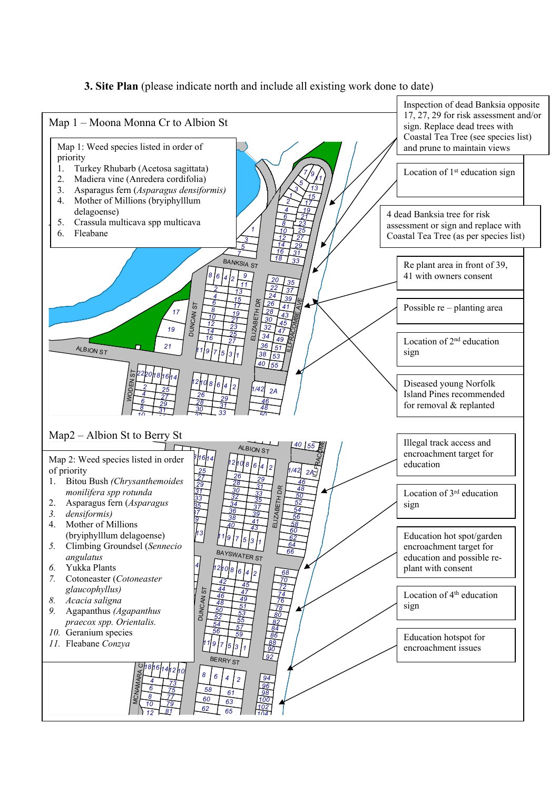### **3. Site Plan** (please indicate north and include all existing work done to date)

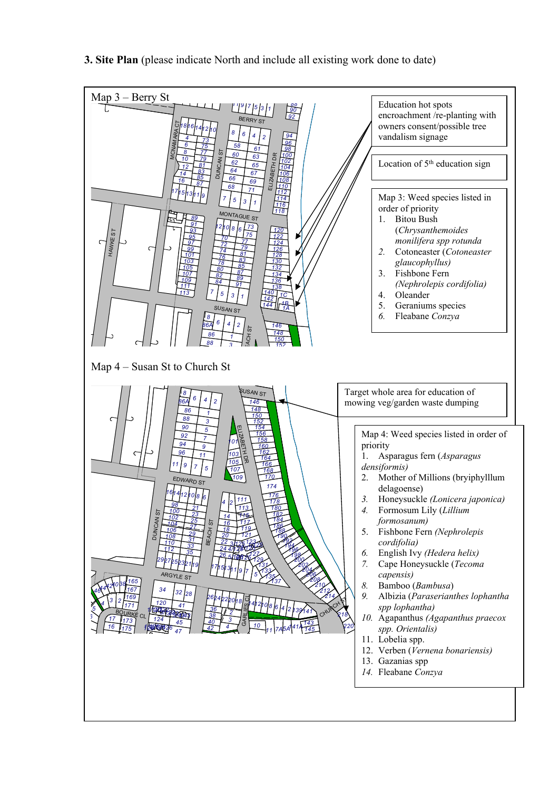

**3. Site Plan** (please indicate North and include all existing work done to date)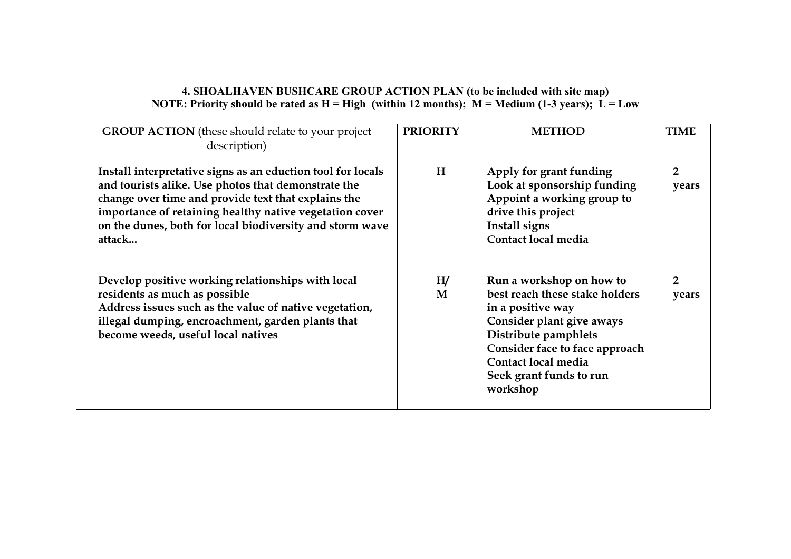### **4. SHOALHAVEN BUSHCARE GROUP ACTION PLAN (to be included with site map) NOTE:** Priority should be rated as  $H = High$  (within 12 months);  $M = Medium$  (1-3 years);  $\vec{L} = Low$

| <b>GROUP ACTION</b> (these should relate to your project<br>description)                                                                                                                                                                                                                                   | <b>PRIORITY</b> | <b>METHOD</b>                                                                                                                                                                                                                        | <b>TIME</b>             |
|------------------------------------------------------------------------------------------------------------------------------------------------------------------------------------------------------------------------------------------------------------------------------------------------------------|-----------------|--------------------------------------------------------------------------------------------------------------------------------------------------------------------------------------------------------------------------------------|-------------------------|
| Install interpretative signs as an eduction tool for locals<br>and tourists alike. Use photos that demonstrate the<br>change over time and provide text that explains the<br>importance of retaining healthy native vegetation cover<br>on the dunes, both for local biodiversity and storm wave<br>attack | H               | Apply for grant funding<br>Look at sponsorship funding<br>Appoint a working group to<br>drive this project<br>Install signs<br>Contact local media                                                                                   | $\overline{2}$<br>years |
| Develop positive working relationships with local<br>residents as much as possible<br>Address issues such as the value of native vegetation,<br>illegal dumping, encroachment, garden plants that<br>become weeds, useful local natives                                                                    | H/<br>M         | Run a workshop on how to<br>best reach these stake holders<br>in a positive way<br>Consider plant give aways<br>Distribute pamphlets<br>Consider face to face approach<br>Contact local media<br>Seek grant funds to run<br>workshop | $\overline{2}$<br>years |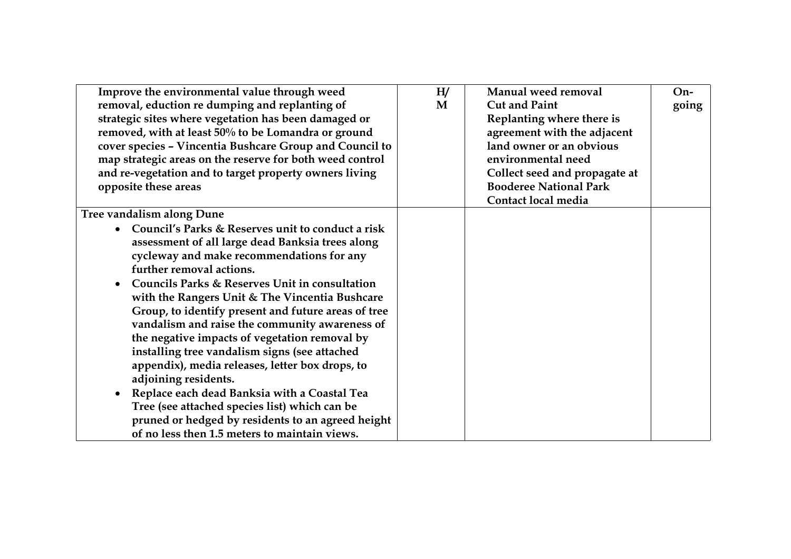| Improve the environmental value through weed             | H/ | Manual weed removal           | $On-$ |
|----------------------------------------------------------|----|-------------------------------|-------|
| removal, eduction re dumping and replanting of           | M  | <b>Cut and Paint</b>          | going |
| strategic sites where vegetation has been damaged or     |    | Replanting where there is     |       |
| removed, with at least 50% to be Lomandra or ground      |    | agreement with the adjacent   |       |
| cover species - Vincentia Bushcare Group and Council to  |    | land owner or an obvious      |       |
| map strategic areas on the reserve for both weed control |    | environmental need            |       |
| and re-vegetation and to target property owners living   |    | Collect seed and propagate at |       |
| opposite these areas                                     |    | <b>Booderee National Park</b> |       |
|                                                          |    | Contact local media           |       |
| <b>Tree vandalism along Dune</b>                         |    |                               |       |
| Council's Parks & Reserves unit to conduct a risk        |    |                               |       |
| assessment of all large dead Banksia trees along         |    |                               |       |
| cycleway and make recommendations for any                |    |                               |       |
| further removal actions.                                 |    |                               |       |
| Councils Parks & Reserves Unit in consultation           |    |                               |       |
| with the Rangers Unit & The Vincentia Bushcare           |    |                               |       |
| Group, to identify present and future areas of tree      |    |                               |       |
| vandalism and raise the community awareness of           |    |                               |       |
| the negative impacts of vegetation removal by            |    |                               |       |
| installing tree vandalism signs (see attached            |    |                               |       |
| appendix), media releases, letter box drops, to          |    |                               |       |
| adjoining residents.                                     |    |                               |       |
| Replace each dead Banksia with a Coastal Tea             |    |                               |       |
| Tree (see attached species list) which can be            |    |                               |       |
| pruned or hedged by residents to an agreed height        |    |                               |       |
| of no less then 1.5 meters to maintain views.            |    |                               |       |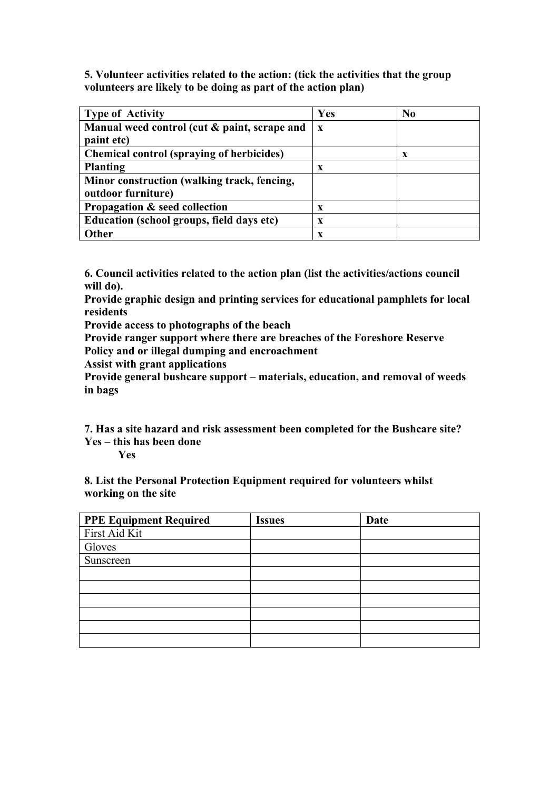**5. Volunteer activities related to the action: (tick the activities that the group volunteers are likely to be doing as part of the action plan)**

| <b>Type of Activity</b>                          | Yes          | $\bf No$ |
|--------------------------------------------------|--------------|----------|
| Manual weed control (cut & paint, scrape and     | $\mathbf{x}$ |          |
| paint etc)                                       |              |          |
| <b>Chemical control (spraying of herbicides)</b> |              | X        |
| <b>Planting</b>                                  | X            |          |
| Minor construction (walking track, fencing,      |              |          |
| outdoor furniture)                               |              |          |
| Propagation & seed collection                    | X            |          |
| Education (school groups, field days etc)        | X            |          |
| <b>Other</b>                                     | X            |          |

**6. Council activities related to the action plan (list the activities/actions council will do).**

**Provide graphic design and printing services for educational pamphlets for local residents**

**Provide access to photographs of the beach**

**Provide ranger support where there are breaches of the Foreshore Reserve Policy and or illegal dumping and encroachment**

**Assist with grant applications**

**Provide general bushcare support – materials, education, and removal of weeds in bags**

**7. Has a site hazard and risk assessment been completed for the Bushcare site? Yes – this has been done**

**Yes** 

**8. List the Personal Protection Equipment required for volunteers whilst working on the site**

| <b>PPE Equipment Required</b> | <b>Issues</b> | Date |
|-------------------------------|---------------|------|
| First Aid Kit                 |               |      |
| Gloves                        |               |      |
| Sunscreen                     |               |      |
|                               |               |      |
|                               |               |      |
|                               |               |      |
|                               |               |      |
|                               |               |      |
|                               |               |      |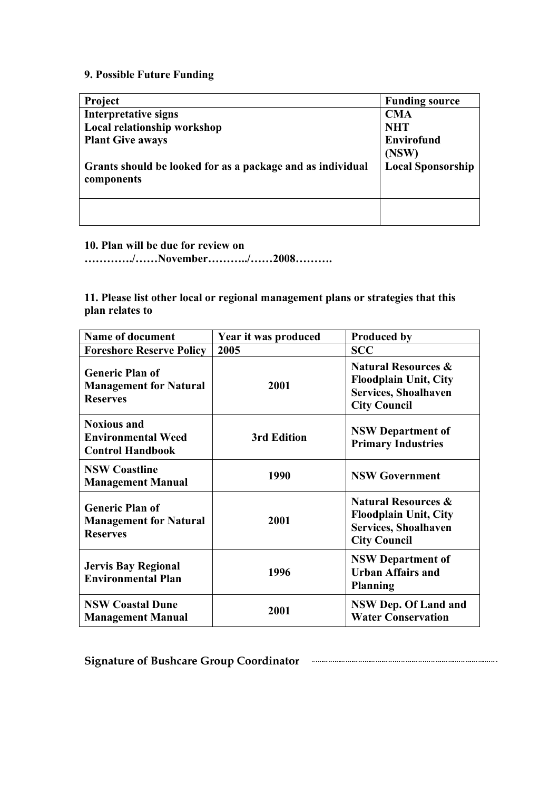## **9. Possible Future Funding**

| Project                                                    | <b>Funding source</b>    |
|------------------------------------------------------------|--------------------------|
| Interpretative signs                                       | <b>CMA</b>               |
| Local relationship workshop                                | <b>NHT</b>               |
| <b>Plant Give aways</b>                                    | <b>Envirofund</b>        |
|                                                            | (NSW)                    |
| Grants should be looked for as a package and as individual | <b>Local Sponsorship</b> |
| components                                                 |                          |
|                                                            |                          |
|                                                            |                          |
|                                                            |                          |

### **10. Plan will be due for review on**

**…………./……November………../……2008……….**

### **11. Please list other local or regional management plans or strategies that this plan relates to**

| <b>Name of document</b>                                                    | Year it was produced | <b>Produced by</b>                                                                                                   |
|----------------------------------------------------------------------------|----------------------|----------------------------------------------------------------------------------------------------------------------|
| <b>Foreshore Reserve Policy</b>                                            | 2005                 | <b>SCC</b>                                                                                                           |
| <b>Generic Plan of</b><br><b>Management for Natural</b><br><b>Reserves</b> | 2001                 | <b>Natural Resources &amp;</b><br><b>Floodplain Unit, City</b><br><b>Services, Shoalhaven</b><br><b>City Council</b> |
| <b>Noxious and</b><br><b>Environmental Weed</b><br><b>Control Handbook</b> | <b>3rd Edition</b>   | <b>NSW Department of</b><br><b>Primary Industries</b>                                                                |
| <b>NSW Coastline</b><br><b>Management Manual</b>                           | 1990                 | <b>NSW Government</b>                                                                                                |
| <b>Generic Plan of</b><br><b>Management for Natural</b><br><b>Reserves</b> | 2001                 | <b>Natural Resources &amp;</b><br><b>Floodplain Unit, City</b><br><b>Services, Shoalhaven</b><br><b>City Council</b> |
| <b>Jervis Bay Regional</b><br><b>Environmental Plan</b>                    | 1996                 | <b>NSW Department of</b><br><b>Urban Affairs and</b><br><b>Planning</b>                                              |
| <b>NSW Coastal Dune</b><br><b>Management Manual</b>                        | 2001                 | NSW Dep. Of Land and<br><b>Water Conservation</b>                                                                    |

**Signature of Bushcare Group Coordinator**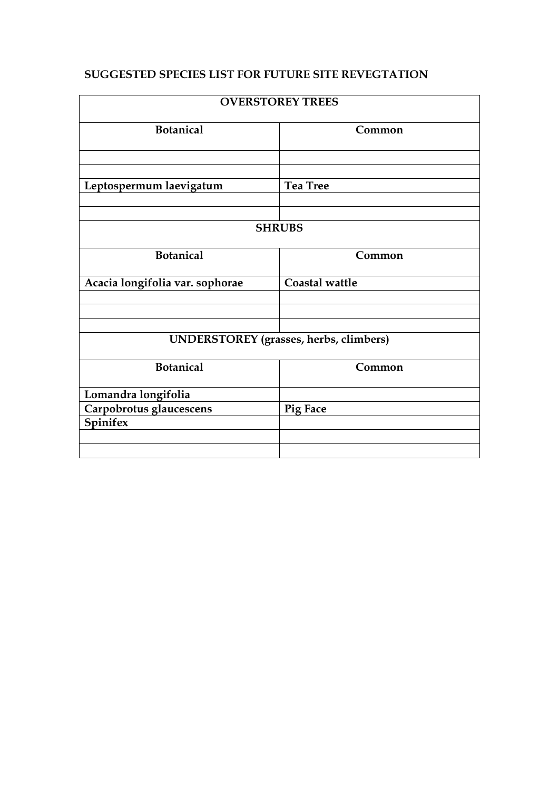## **SUGGESTED SPECIES LIST FOR FUTURE SITE REVEGTATION**

| <b>OVERSTOREY TREES</b>                |                 |  |  |
|----------------------------------------|-----------------|--|--|
| <b>Botanical</b>                       | Common          |  |  |
|                                        |                 |  |  |
| Leptospermum laevigatum                | <b>Tea Tree</b> |  |  |
| <b>SHRUBS</b>                          |                 |  |  |
| <b>Botanical</b>                       | Common          |  |  |
|                                        | Coastal wattle  |  |  |
| Acacia longifolia var. sophorae        |                 |  |  |
|                                        |                 |  |  |
| UNDERSTOREY (grasses, herbs, climbers) |                 |  |  |
| <b>Botanical</b>                       | Common          |  |  |
| Lomandra longifolia                    |                 |  |  |
| Carpobrotus glaucescens                | <b>Pig Face</b> |  |  |
| Spinifex                               |                 |  |  |
|                                        |                 |  |  |
|                                        |                 |  |  |